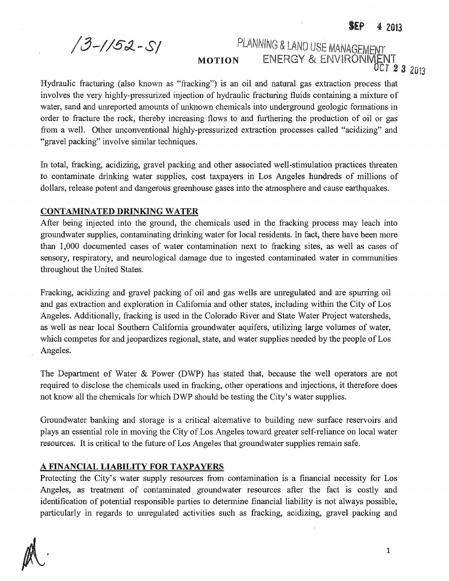*/3-//5:L-S/*

# PLANNING & LAND USE MANAGEMENT MOTION ENERGY & ENVIRONWENT

*OCT* 2 3 <sup>2013</sup>

Hydraulic fracturing (also known as "fracking") is an oil and natural gas extraction process that involves the very highly-pressurized injection of hydraulic fracturing fluids containing a mixture of water, sand and unreported amounts of unknown chemicals into underground geologic formations in order to fracture the rock, thereby increasing flows to and furthering the production of oil or gas from a well. Other unconventional highly-pressurized extraction processes called "acidizing" and "gravel packing" involve similar techniques.

In total, tracking, acidizing, gravel packing and other associated well-stimulation practices threaten to contaminate drinking water supplies, cost taxpayers in Los Angeles hundreds of millions of dollars, release potent and dangerous greenhouse gases into the atmosphere and cause earthquakes.

## CONTAMINATED DRINKING WATER

After being injected into the ground, the chemicals used in the fracking process may leach into groundwater supplies, contaminating drinking water for local residents. In fact, there have been more than 1,000 documented cases of water contamination next to fracking sites, as well as cases of sensory, respiratory, and neurological damage due to ingested contaminated water in communities throughout the United States.

Fracking, acidizing and gravel packing of oil and gas wells are unregulated and are spurring oil and gas extraction and exploration in California and other states, including within the City of Los Angeles. Additionally, fracking is used in the Colorado River and State Water Project watersheds, as well as near local Southern California groundwater aquifers, utilizing large volumes of water, which competes for and jeopardizes regional, state, and water supplies needed by the people of Los Angeles.

The Department of Water & Power (DWP) has stated that, because the well operators are not required to disclose the chemicals used in fracking, other operations and injections, it therefore does not know all the chemicals for which DWP should be testing the City's water supplies.

Groundwater banking and storage is a critical alternative to building new surface reservoirs and plays an essential role in moving the City of Los Angeles toward greater self-reliance on local water resources. It is critical to the future of Los Angeles that groundwater supplies remain safe.

## A FINANCIAL **LIABILITY FOR** TAXPAYERS

Protecting the City's water supply resources from contamination is a financial necessity for Los Angeles, as treatment of contaminated groundwater resources after the fact is costly and identification of potential responsible parties to determine financial liability is not always possible, particularly in regards to unregulated activities such as fracking, acidizing, gravel packing and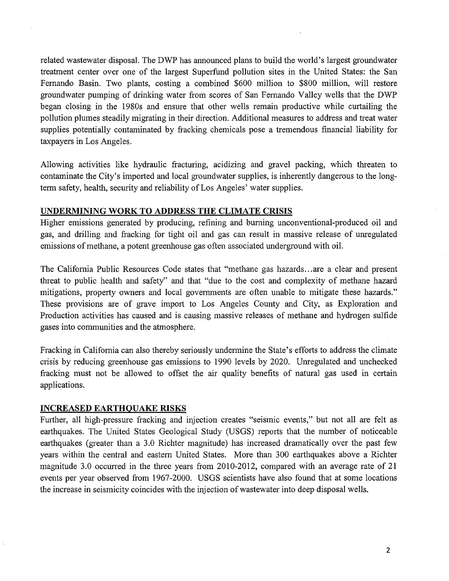related wastewater disposal. The DWP has announced plans to build the world's largest groundwater treatment center over one of the largest Superfund pollution sites in the United States: the San Fernando Basin. Two plants, costing a combined \$600 million to \$800 million, will restore groundwater pumping of drinking water from scores of San Fernando Valley wells that the DWP began closing in the 1980s and ensure that other wells remain productive while curtailing the pollution plumes steadily migrating in their direction, Additional measures to address and treat water supplies potentially contaminated by fracking chemicals pose a tremendous financial liability for taxpayers in Los Angeles.

Allowing activities like hydraulic fracturing, acidizing and gravel packing, which threaten to contaminate the City's imported and local groundwater supplies, is inherently dangerous to the longterm safety, health, security and reliability of Los Angeles' water supplies.

### UNDERMINING WORK TO ADDRESS THE CLIMATE CRISIS

Higher emissions generated by producing, refining and burning unconventional-produced oil and gas, and drilling and fracking for tight oil and gas can result in massive release of unregulated emissions of methane, a potent greenhouse gas often associated underground with oil.

The California Public Resources Code states that "methane gas hazards ... are a clear and present threat to public health and safety" and that "due to the cost and complexity of methane hazard mitigations, property owners and local govemments are often unable to mitigate these hazards." These provisions are of grave import to Los Angeles County and City, as Exploration and Production activities has caused and is causing massive releases of methane and hydrogen sulfide gases into communities and the atmosphere.

Fracking in California can also thereby seriously undermine the State's efforts to address the climate crisis by reducing greenhouse gas emissions to 1990 levels by 2020. Unregulated and unchecked fracking must not be allowed to offset the air quality benefits of natural gas used in certain applications,

#### INCREASED EARTHQUAKE RISKS

Further, all high-pressure fracking and injection creates "seismic events," but not all are felt as earthquakes. The United States Geological Study (USGS) reports that the number of noticeable earthquakes (greater than a 3.0 Richter magnitude) has increased dramatically over the past few years within the central and eastern United States. More than 300 earthquakes above a Richter magnitude 3.0 occurred in the three years from 2010-2012, compared with an average rate of 21 events per year observed from 1967-2000. USGS scientists have also found that at some locations the increase in seismicity coincides with the injection of wastewater into deep disposal wells.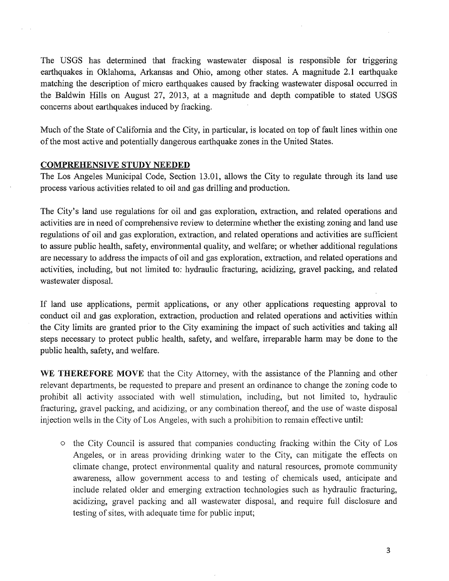The USGS has determined that fracking wastewater disposal is responsible for triggering earthquakes in Oklahoma, Arkansas and Ohio, among other states. A magnitude 2.1 earthquake matching the description of micro earthquakes caused by fracking wastewater disposal occurred in the Baldwin Hills on August 27, 2013, at a magnitude and depth compatible to stated USGS concerns about earthquakes induced by fracking.

Much of the State of California and the City, in particular, is located on top of fault lines within one of the most active and potentially dangerous earthquake zones in the United States.

### COMPREHENSIVE STUDY NEEDED

The Los Angeles Municipal Code, Section 13.01, allows the City to regulate through its land use process various activities related to oil and gas drilling and production.

The City's land use regulations for oil and gas exploration, extraction, and related operations and activities are in need of comprehensive review to determine whether the existing zoning and land use regulations of oil and gas exploration, extraction, and related operations and activities are sufficient to assure public health, safety, environmental quality, and welfare; or whether additional regulations are necessary to address the impacts of oil and gas exploration, extraction, and related operations and activities, including, but not limited to: hydraulic fracturing, acidizing, gravel packing, and related wastewater disposal.

If land use applications, permit applications, or any other applications requesting approval to conduct oil and gas exploration, extraction, production and related operations and activities within the City limits are granted prior to the City examining the impact of such activities and taking all steps necessary to protect public health, safety, and welfare, irreparable harm may be done to the public health, safety, and welfare.

WE THEREFORE MOVE that the City Attorney, with the assistance of the Planning and other relevant departments, be requested to prepare and present an ordinance to change the zoning code to prohibit all activity associated with well stimulation, including, but not limited to, hydraulic fracturing, gravel packing, and acidizing, or any combination thereof, and the use of waste disposal injection wells in the City of Los Angeles, with such a prohibition to remain effective until:

o the City Council is assured that companies conducting fracking within the City of Los Angeles, or in areas providing drinking water to the City, can mitigate the effects on climate change, protect environmental quality and natural resources, promote community awareness, allow government access to and testing of chemicals used, anticipate and include related older and emerging extraction technologies such as hydraulic fracturing, acidizing, grave] packing and all wastewater disposal, and require full disclosure and testing of sites, with adequate time for public input;

3